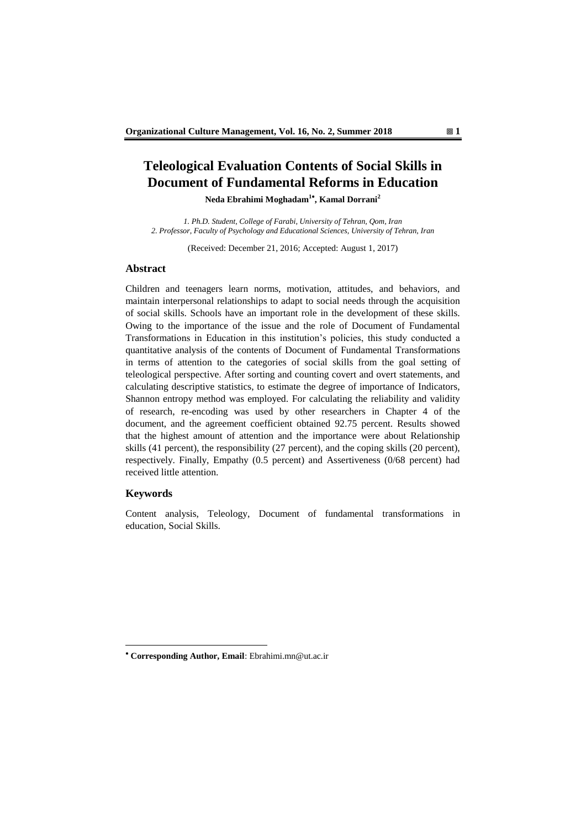# **Teleological Evaluation Contents of Social Skills in Document of Fundamental Reforms in Education**

**Neda Ebrahimi Moghadam<sup>1</sup> , Kamal Dorrani<sup>2</sup>**

*1. Ph.D. Student, College of Farabi, University of Tehran, Qom, Iran 2. Professor, Faculty of Psychology and Educational Sciences, University of Tehran, Iran*

(Received: December 21, 2016; Accepted: August 1, 2017)

## **Abstract**

Children and teenagers learn norms, motivation, attitudes, and behaviors, and maintain interpersonal relationships to adapt to social needs through the acquisition of social skills. Schools have an important role in the development of these skills. Owing to the importance of the issue and the role of Document of Fundamental Transformations in Education in this institution's policies, this study conducted a quantitative analysis of the contents of Document of Fundamental Transformations in terms of attention to the categories of social skills from the goal setting of teleological perspective. After sorting and counting covert and overt statements, and calculating descriptive statistics, to estimate the degree of importance of Indicators, Shannon entropy method was employed. For calculating the reliability and validity of research, re-encoding was used by other researchers in Chapter 4 of the document, and the agreement coefficient obtained 92.75 percent. Results showed that the highest amount of attention and the importance were about Relationship skills (41 percent), the responsibility (27 percent), and the coping skills (20 percent), respectively. Finally, Empathy (0.5 percent) and Assertiveness (0/68 percent) had received little attention.

#### **Keywords**

-

Content analysis, Teleology, Document of fundamental transformations in education, Social Skills.

**Corresponding Author, Email**: Ebrahimi.mn@ut.ac.ir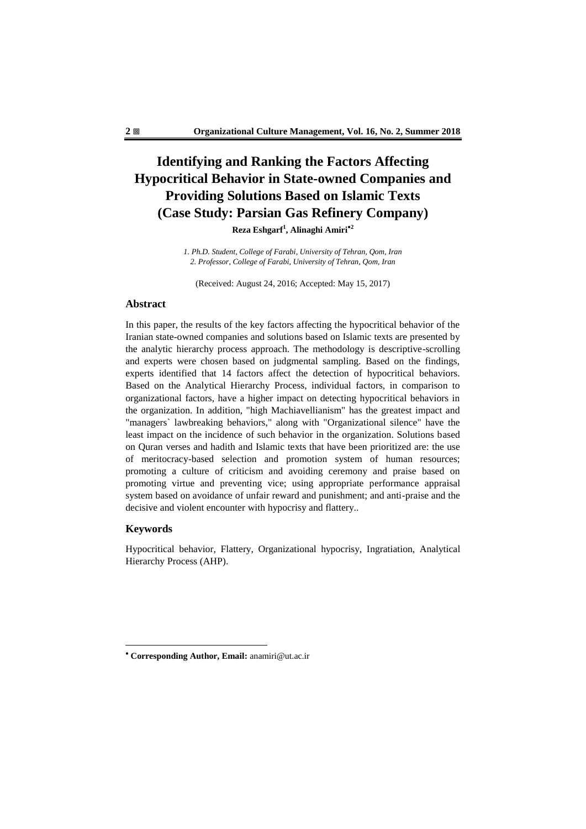# **Identifying and Ranking the Factors Affecting Hypocritical Behavior in State-owned Companies and Providing Solutions Based on Islamic Texts (Case Study: Parsian Gas Refinery Company)**

**Reza Eshgarf<sup>1</sup> , Alinaghi Amiri<sup>2</sup>**

*1. Ph.D. Student, College of Farabi, University of Tehran, Qom, Iran 2. Professor, College of Farabi, University of Tehran, Qom, Iran*

(Received: August 24, 2016; Accepted: May 15, 2017)

### **Abstract**

In this paper, the results of the key factors affecting the hypocritical behavior of the Iranian state-owned companies and solutions based on Islamic texts are presented by the analytic hierarchy process approach. The methodology is descriptive-scrolling and experts were chosen based on judgmental sampling. Based on the findings, experts identified that 14 factors affect the detection of hypocritical behaviors. Based on the Analytical Hierarchy Process, individual factors, in comparison to organizational factors, have a higher impact on detecting hypocritical behaviors in the organization. In addition, "high Machiavellianism" has the greatest impact and "managers` lawbreaking behaviors," along with "Organizational silence" have the least impact on the incidence of such behavior in the organization. Solutions based on Quran verses and hadith and Islamic texts that have been prioritized are: the use of meritocracy-based selection and promotion system of human resources; promoting a culture of criticism and avoiding ceremony and praise based on promoting virtue and preventing vice; using appropriate performance appraisal system based on avoidance of unfair reward and punishment; and anti-praise and the decisive and violent encounter with hypocrisy and flattery..

### **Keywords**

-

Hypocritical behavior, Flattery, Organizational hypocrisy, Ingratiation, Analytical Hierarchy Process (AHP).

**Corresponding Author, Email:** anamiri@ut.ac.ir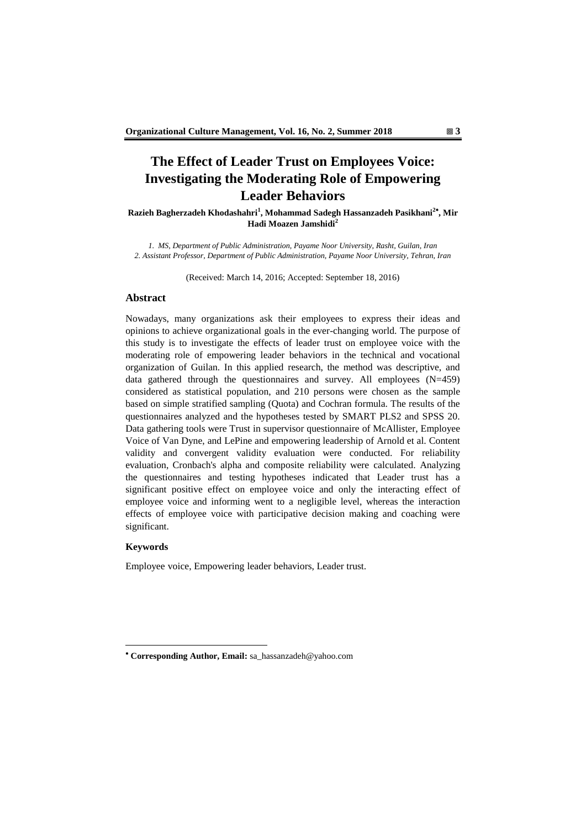## **The Effect of Leader Trust on Employees Voice: Investigating the Moderating Role of Empowering Leader Behaviors**

**Razieh Bagherzadeh Khodashahri<sup>1</sup> , Mohammad Sadegh Hassanzadeh Pasikhani<sup>2</sup> , Mir Hadi Moazen Jamshidi<sup>2</sup>**

*1. MS, Department of Public Administration, Payame Noor University, Rasht, Guilan, Iran 2. Assistant Professor, Department of Public Administration, Payame Noor University, Tehran, Iran*

(Received: March 14, 2016; Accepted: September 18, 2016)

## **Abstract**

Nowadays, many organizations ask their employees to express their ideas and opinions to achieve organizational goals in the ever-changing world. The purpose of this study is to investigate the effects of leader trust on employee voice with the moderating role of empowering leader behaviors in the technical and vocational organization of Guilan. In this applied research, the method was descriptive, and data gathered through the questionnaires and survey. All employees (N=459) considered as statistical population, and 210 persons were chosen as the sample based on simple stratified sampling (Quota) and Cochran formula. The results of the questionnaires analyzed and the hypotheses tested by SMART PLS2 and SPSS 20. Data gathering tools were Trust in supervisor questionnaire of McAllister, Employee Voice of Van Dyne, and LePine and empowering leadership of Arnold et al. Content validity and convergent validity evaluation were conducted. For reliability evaluation, Cronbach's alpha and composite reliability were calculated. Analyzing the questionnaires and testing hypotheses indicated that Leader trust has a significant positive effect on employee voice and only the interacting effect of employee voice and informing went to a negligible level, whereas the interaction effects of employee voice with participative decision making and coaching were significant.

#### **Keywords**

-

Employee voice, Empowering leader behaviors, Leader trust.

**Corresponding Author, Email:** sa\_hassanzadeh@yahoo.com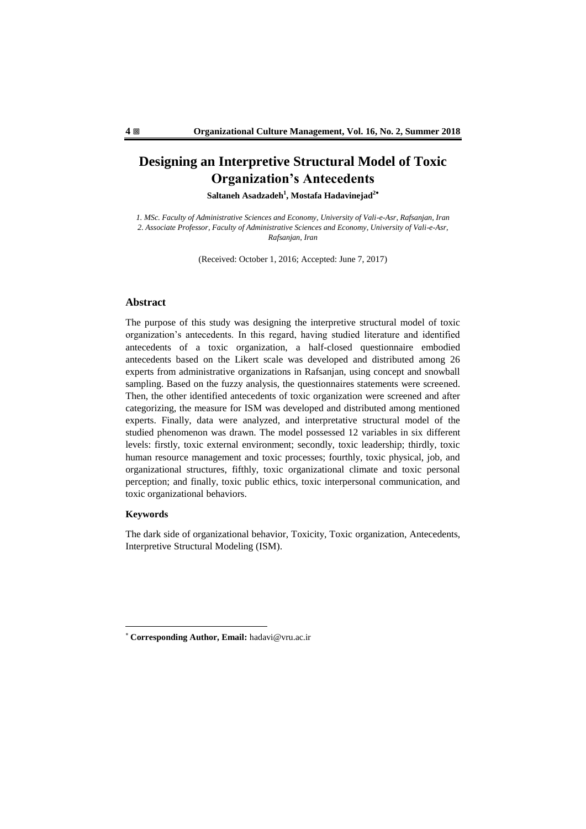## **Designing an Interpretive Structural Model of Toxic Organization's Antecedents**

**Saltaneh Asadzadeh<sup>1</sup> , Mostafa Hadavinejad<sup>2</sup>**

*1. MSc. Faculty of Administrative Sciences and Economy, University of Vali-e-Asr, Rafsanjan, Iran 2. Associate Professor, Faculty of Administrative Sciences and Economy, University of Vali-e-Asr, Rafsanjan, Iran*

(Received: October 1, 2016; Accepted: June 7, 2017)

### **Abstract**

The purpose of this study was designing the interpretive structural model of toxic organization's antecedents. In this regard, having studied literature and identified antecedents of a toxic organization, a half-closed questionnaire embodied antecedents based on the Likert scale was developed and distributed among 26 experts from administrative organizations in Rafsanjan, using concept and snowball sampling. Based on the fuzzy analysis, the questionnaires statements were screened. Then, the other identified antecedents of toxic organization were screened and after categorizing, the measure for ISM was developed and distributed among mentioned experts. Finally, data were analyzed, and interpretative structural model of the studied phenomenon was drawn. The model possessed 12 variables in six different levels: firstly, toxic external environment; secondly, toxic leadership; thirdly, toxic human resource management and toxic processes; fourthly, toxic physical, job, and organizational structures, fifthly, toxic organizational climate and toxic personal perception; and finally, toxic public ethics, toxic interpersonal communication, and toxic organizational behaviors.

## **Keywords**

1

The dark side of organizational behavior, Toxicity, Toxic organization, Antecedents, Interpretive Structural Modeling (ISM).

**Corresponding Author, Email:** hadavi@vru.ac.ir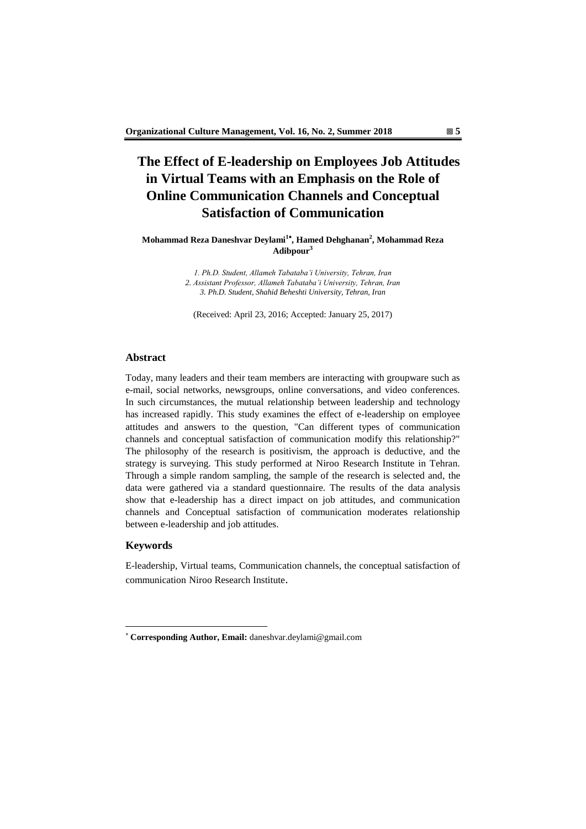## **The Effect of E-leadership on Employees Job Attitudes in Virtual Teams with an Emphasis on the Role of Online Communication Channels and Conceptual Satisfaction of Communication**

**Mohammad Reza Daneshvar Deylami<sup>1</sup> , Hamed Dehghanan<sup>2</sup> , Mohammad Reza Adibpour<sup>3</sup>**

> *1. Ph.D. Student, Allameh Tabataba'i University, Tehran, Iran 2. Assistant Professor, Allameh Tabataba'i University, Tehran, Iran 3. Ph.D. Student, Shahid Beheshti University, Tehran, Iran*

(Received: April 23, 2016; Accepted: January 25, 2017)

#### **Abstract**

Today, many leaders and their team members are interacting with groupware such as e-mail, social networks, newsgroups, online conversations, and video conferences. In such circumstances, the mutual relationship between leadership and technology has increased rapidly. This study examines the effect of e-leadership on employee attitudes and answers to the question, "Can different types of communication channels and conceptual satisfaction of communication modify this relationship?" The philosophy of the research is positivism, the approach is deductive, and the strategy is surveying. This study performed at Niroo Research Institute in Tehran. Through a simple random sampling, the sample of the research is selected and, the data were gathered via a standard questionnaire. The results of the data analysis show that e-leadership has a direct impact on job attitudes, and communication channels and Conceptual satisfaction of communication moderates relationship between e-leadership and job attitudes.

## **Keywords**

1

E-leadership, Virtual teams, Communication channels, the conceptual satisfaction of communication Niroo Research Institute.

**Corresponding Author, Email:** daneshvar.deylami@gmail.com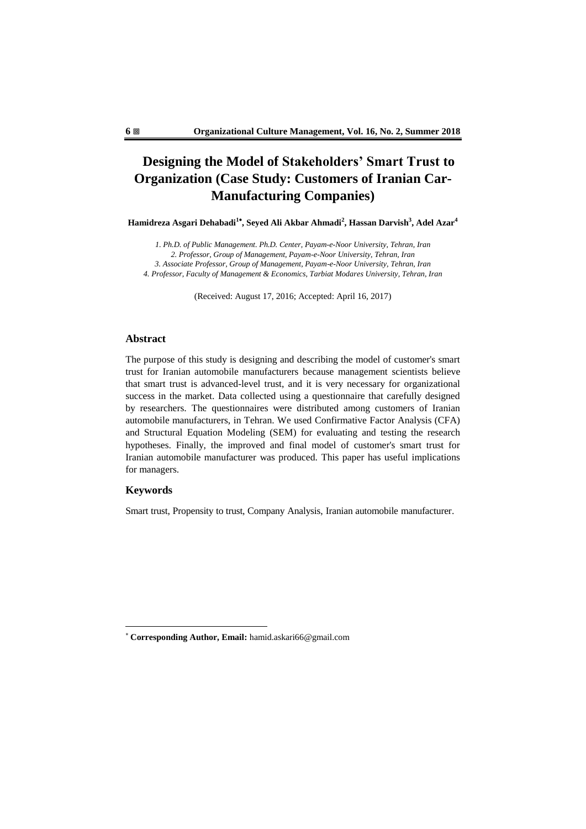## **Designing the Model of Stakeholders' Smart Trust to Organization (Case Study: Customers of Iranian Car-Manufacturing Companies)**

**Hamidreza Asgari Dehabadi<sup>1</sup> , Seyed Ali Akbar Ahmadi<sup>2</sup> , Hassan Darvish<sup>3</sup> , Adel Azar<sup>4</sup>**

*1. Ph.D. of Public Management. Ph.D. Center, Payam-e-Noor University, Tehran, Iran 2. Professor, Group of Management, Payam-e-Noor University, Tehran, Iran 3. Associate Professor, Group of Management, Payam-e-Noor University, Tehran, Iran 4. Professor, Faculty of Management & Economics, Tarbiat Modares University, Tehran, Iran*

(Received: August 17, 2016; Accepted: April 16, 2017)

## **Abstract**

The purpose of this study is designing and describing the model of customer's smart trust for Iranian automobile manufacturers because management scientists believe that smart trust is advanced-level trust, and it is very necessary for organizational success in the market. Data collected using a questionnaire that carefully designed by researchers. The questionnaires were distributed among customers of Iranian automobile manufacturers, in Tehran. We used Confirmative Factor Analysis (CFA) and Structural Equation Modeling (SEM) for evaluating and testing the research hypotheses. Finally, the improved and final model of customer's smart trust for Iranian automobile manufacturer was produced. This paper has useful implications for managers.

## **Keywords**

1

Smart trust, Propensity to trust, Company Analysis, Iranian automobile manufacturer.

**Corresponding Author, Email:** hamid.askari66@gmail.com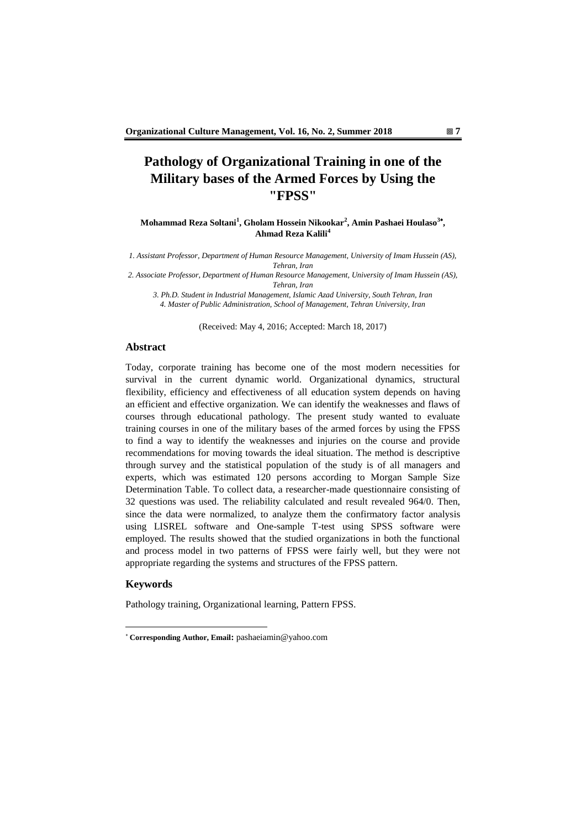## **Pathology of Organizational Training in one of the Military bases of the Armed Forces by Using the "FPSS"**

**Mohammad Reza Soltani<sup>1</sup> , Gholam Hossein Nikookar<sup>2</sup> , Amin Pashaei Houlaso<sup>3</sup> , Ahmad Reza Kalili<sup>4</sup>**

*1. Assistant Professor, Department of Human Resource Management, University of Imam Hussein (AS), Tehran, Iran*

*2. Associate Professor, Department of Human Resource Management, University of Imam Hussein (AS), Tehran, Iran*

*3. Ph.D. Student in Industrial Management, Islamic Azad University, South Tehran, Iran 4. Master of Public Administration, School of Management, Tehran University, Iran*

(Received: May 4, 2016; Accepted: March 18, 2017)

#### **Abstract**

Today, corporate training has become one of the most modern necessities for survival in the current dynamic world. Organizational dynamics, structural flexibility, efficiency and effectiveness of all education system depends on having an efficient and effective organization. We can identify the weaknesses and flaws of courses through educational pathology. The present study wanted to evaluate training courses in one of the military bases of the armed forces by using the FPSS to find a way to identify the weaknesses and injuries on the course and provide recommendations for moving towards the ideal situation. The method is descriptive through survey and the statistical population of the study is of all managers and experts, which was estimated 120 persons according to Morgan Sample Size Determination Table. To collect data, a researcher-made questionnaire consisting of 32 questions was used. The reliability calculated and result revealed 964/0. Then, since the data were normalized, to analyze them the confirmatory factor analysis using LISREL software and One-sample T-test using SPSS software were employed. The results showed that the studied organizations in both the functional and process model in two patterns of FPSS were fairly well, but they were not appropriate regarding the systems and structures of the FPSS pattern.

## **Keywords**

1

Pathology training, Organizational learning, Pattern FPSS.

**Corresponding Author, Email:** pashaeiamin@yahoo.com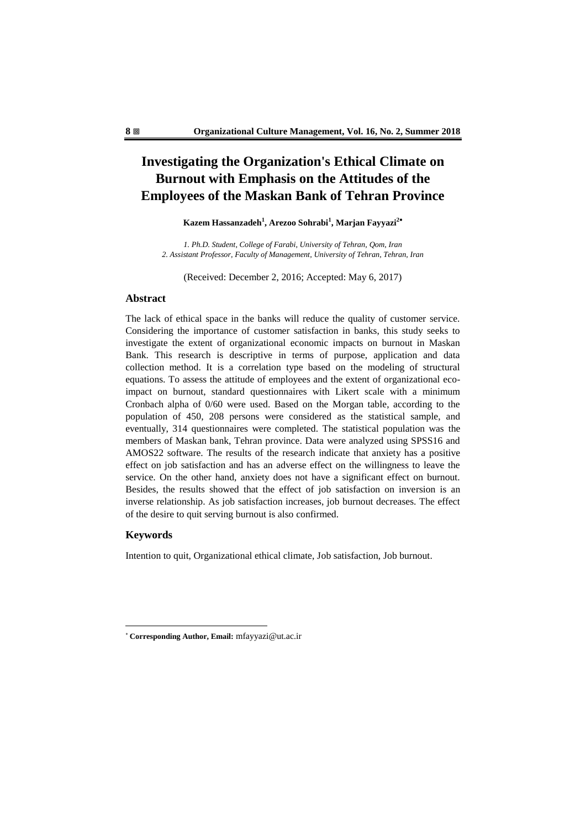## **Investigating the Organization's Ethical Climate on Burnout with Emphasis on the Attitudes of the Employees of the Maskan Bank of Tehran Province**

**Kazem Hassanzadeh<sup>1</sup> , Arezoo Sohrabi<sup>1</sup> , Marjan Fayyazi<sup>2</sup>**

*1. Ph.D. Student, College of Farabi, University of Tehran, Qom, Iran 2. Assistant Professor, Faculty of Management, University of Tehran, Tehran, Iran*

(Received: December 2, 2016; Accepted: May 6, 2017)

## **Abstract**

The lack of ethical space in the banks will reduce the quality of customer service. Considering the importance of customer satisfaction in banks, this study seeks to investigate the extent of organizational economic impacts on burnout in Maskan Bank. This research is descriptive in terms of purpose, application and data collection method. It is a correlation type based on the modeling of structural equations. To assess the attitude of employees and the extent of organizational ecoimpact on burnout, standard questionnaires with Likert scale with a minimum Cronbach alpha of 0/60 were used. Based on the Morgan table, according to the population of 450, 208 persons were considered as the statistical sample, and eventually, 314 questionnaires were completed. The statistical population was the members of Maskan bank, Tehran province. Data were analyzed using SPSS16 and AMOS22 software. The results of the research indicate that anxiety has a positive effect on job satisfaction and has an adverse effect on the willingness to leave the service. On the other hand, anxiety does not have a significant effect on burnout. Besides, the results showed that the effect of job satisfaction on inversion is an inverse relationship. As job satisfaction increases, job burnout decreases. The effect of the desire to quit serving burnout is also confirmed.

#### **Keywords**

-

Intention to quit, Organizational ethical climate, Job satisfaction, Job burnout.

**Corresponding Author, Email:** mfayyazi@ut.ac.ir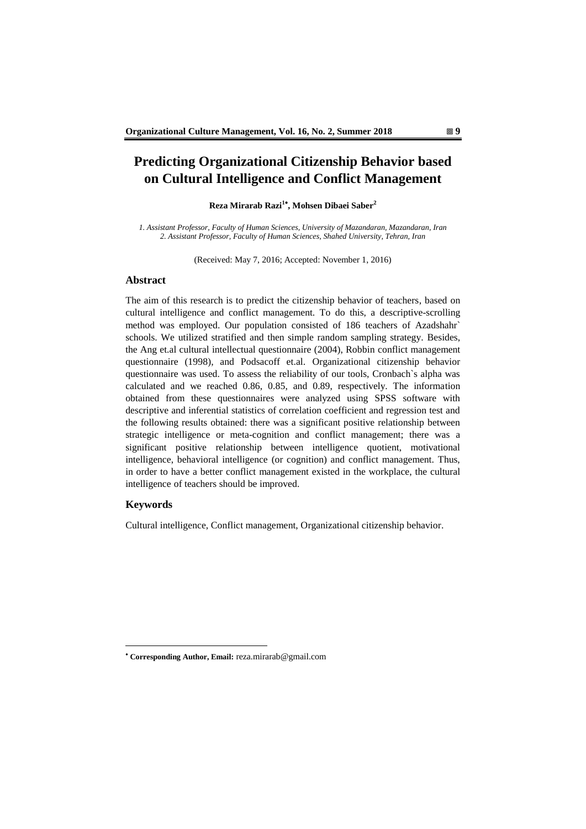## **Predicting Organizational Citizenship Behavior based on Cultural Intelligence and Conflict Management**

#### **Reza Mirarab Razi<sup>1</sup> , Mohsen Dibaei Saber<sup>2</sup>**

*1. Assistant Professor, Faculty of Human Sciences, University of Mazandaran, Mazandaran, Iran 2. Assistant Professor, Faculty of Human Sciences, Shahed University, Tehran, Iran*

(Received: May 7, 2016; Accepted: November 1, 2016)

## **Abstract**

The aim of this research is to predict the citizenship behavior of teachers, based on cultural intelligence and conflict management. To do this, a descriptive-scrolling method was employed. Our population consisted of 186 teachers of Azadshahr' schools. We utilized stratified and then simple random sampling strategy. Besides, the Ang et.al cultural intellectual questionnaire (2004), Robbin conflict management questionnaire (1998), and Podsacoff et.al. Organizational citizenship behavior questionnaire was used. To assess the reliability of our tools, Cronbach`s alpha was calculated and we reached 0.86, 0.85, and 0.89, respectively. The information obtained from these questionnaires were analyzed using SPSS software with descriptive and inferential statistics of correlation coefficient and regression test and the following results obtained: there was a significant positive relationship between strategic intelligence or meta-cognition and conflict management; there was a significant positive relationship between intelligence quotient, motivational intelligence, behavioral intelligence (or cognition) and conflict management. Thus, in order to have a better conflict management existed in the workplace, the cultural intelligence of teachers should be improved.

#### **Keywords**

-

Cultural intelligence, Conflict management, Organizational citizenship behavior.

**Corresponding Author, Email:** reza.mirarab@gmail.com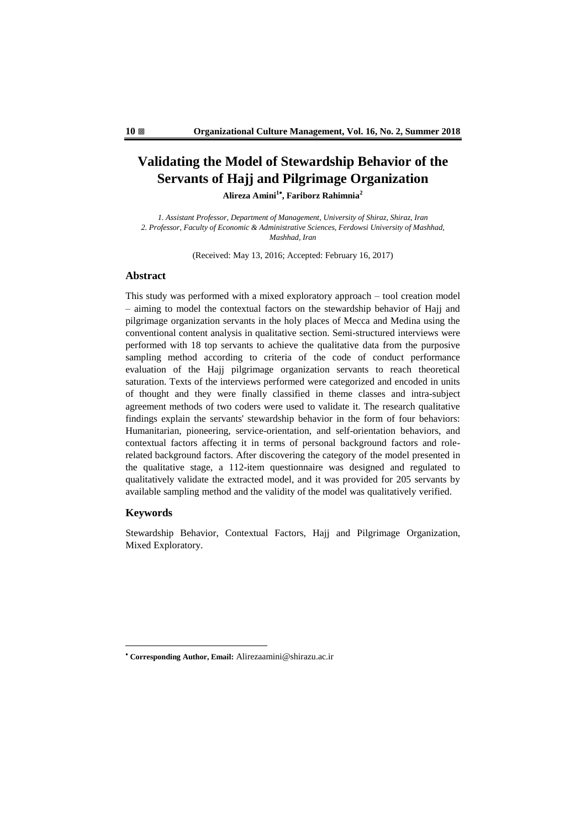## **Validating the Model of Stewardship Behavior of the Servants of Hajj and Pilgrimage Organization**

**Alireza Amini<sup>1</sup> , Fariborz Rahimnia<sup>2</sup>**

*1. Assistant Professor, Department of Management, University of Shiraz, Shiraz, Iran 2. Professor, Faculty of Economic & Administrative Sciences, Ferdowsi University of Mashhad, Mashhad, Iran*

(Received: May 13, 2016; Accepted: February 16, 2017)

## **Abstract**

This study was performed with a mixed exploratory approach – tool creation model – aiming to model the contextual factors on the stewardship behavior of Hajj and pilgrimage organization servants in the holy places of Mecca and Medina using the conventional content analysis in qualitative section. Semi-structured interviews were performed with 18 top servants to achieve the qualitative data from the purposive sampling method according to criteria of the code of conduct performance evaluation of the Hajj pilgrimage organization servants to reach theoretical saturation. Texts of the interviews performed were categorized and encoded in units of thought and they were finally classified in theme classes and intra-subject agreement methods of two coders were used to validate it. The research qualitative findings explain the servants' stewardship behavior in the form of four behaviors: Humanitarian, pioneering, service-orientation, and self-orientation behaviors, and contextual factors affecting it in terms of personal background factors and rolerelated background factors. After discovering the category of the model presented in the qualitative stage, a 112-item questionnaire was designed and regulated to qualitatively validate the extracted model, and it was provided for 205 servants by available sampling method and the validity of the model was qualitatively verified.

### **Keywords**

-

Stewardship Behavior, Contextual Factors, Hajj and Pilgrimage Organization, Mixed Exploratory.

**Corresponding Author, Email:** Alirezaamini@shirazu.ac.ir